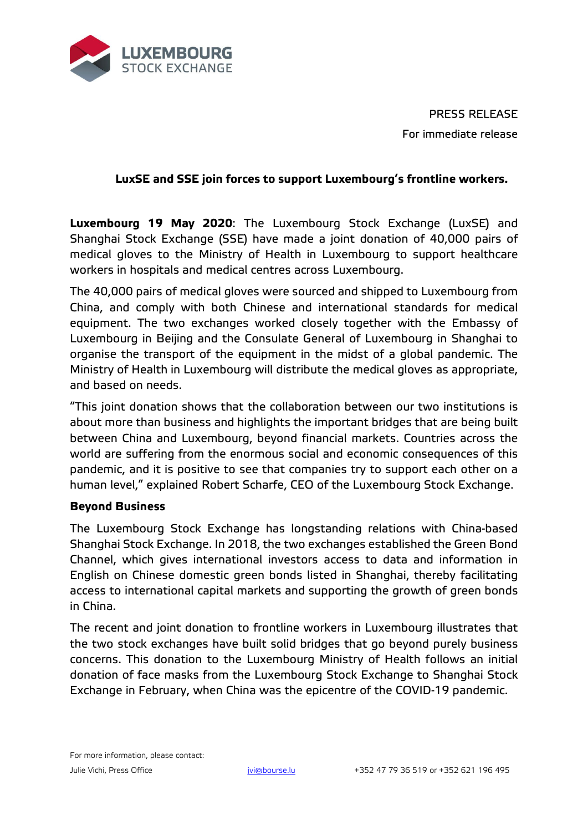

PRESS RELEASE For immediate release

## **LuxSE and SSE join forces to support Luxembourg's frontline workers.**

**Luxembourg 19 May 2020**: The Luxembourg Stock Exchange (LuxSE) and Shanghai Stock Exchange (SSE) have made a joint donation of 40,000 pairs of medical gloves to the Ministry of Health in Luxembourg to support healthcare workers in hospitals and medical centres across Luxembourg.

The 40,000 pairs of medical gloves were sourced and shipped to Luxembourg from China, and comply with both Chinese and international standards for medical equipment. The two exchanges worked closely together with the Embassy of Luxembourg in Beijing and the Consulate General of Luxembourg in Shanghai to organise the transport of the equipment in the midst of a global pandemic. The Ministry of Health in Luxembourg will distribute the medical gloves as appropriate, and based on needs.

"This joint donation shows that the collaboration between our two institutions is about more than business and highlights the important bridges that are being built between China and Luxembourg, beyond financial markets. Countries across the world are suffering from the enormous social and economic consequences of this pandemic, and it is positive to see that companies try to support each other on a human level," explained Robert Scharfe, CEO of the Luxembourg Stock Exchange.

## **Beyond Business**

The Luxembourg Stock Exchange has longstanding relations with China-based Shanghai Stock Exchange. In 2018, the two exchanges established the Green Bond Channel, which gives international investors access to data and information in English on Chinese domestic green bonds listed in Shanghai, thereby facilitating access to international capital markets and supporting the growth of green bonds in China.

The recent and joint donation to frontline workers in Luxembourg illustrates that the two stock exchanges have built solid bridges that go beyond purely business concerns. This donation to the Luxembourg Ministry of Health follows an initial donation of face masks from the Luxembourg Stock Exchange to Shanghai Stock Exchange in February, when China was the epicentre of the COVID-19 pandemic.